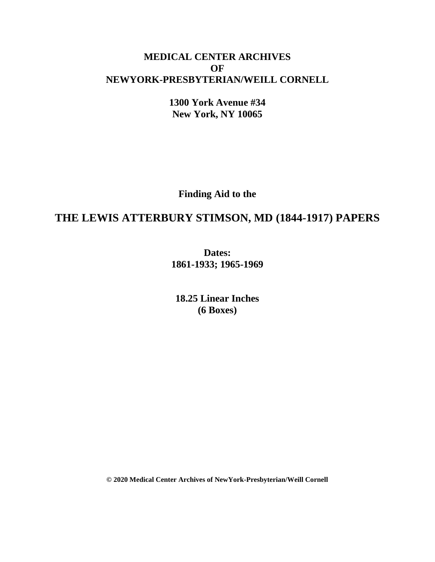# **MEDICAL CENTER ARCHIVES OF NEWYORK-PRESBYTERIAN/WEILL CORNELL**

**1300 York Avenue #34 New York, NY 10065**

**Finding Aid to the**

# **THE LEWIS ATTERBURY STIMSON, MD (1844-1917) PAPERS**

**Dates: 1861-1933; 1965-1969**

**18.25 Linear Inches (6 Boxes)**

**© 2020 Medical Center Archives of NewYork-Presbyterian/Weill Cornell**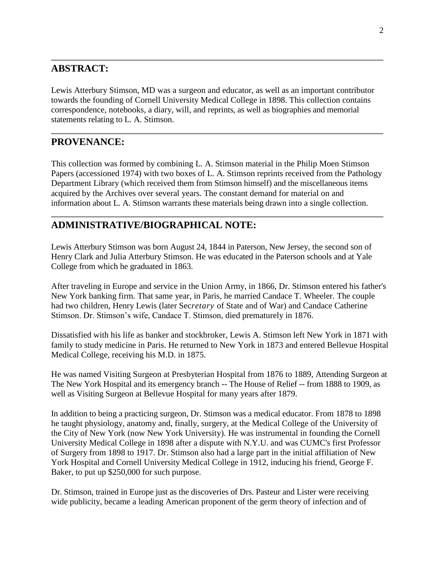### **ABSTRACT:**

Lewis Atterbury Stimson, MD was a surgeon and educator, as well as an important contributor towards the founding of Cornell University Medical College in 1898. This collection contains correspondence, notebooks, a diary, will, and reprints, as well as biographies and memorial statements relating to L. A. Stimson.

### **PROVENANCE:**

This collection was formed by combining L. A. Stimson material in the Philip Moen Stimson Papers (accessioned 1974) with two boxes of L. A. Stimson reprints received from the Pathology Department Library (which received them from Stimson himself) and the miscellaneous items acquired by the Archives over several years. The constant demand for material on and information about L. A. Stimson warrants these materials being drawn into a single collection.

#### **ADMINISTRATIVE/BIOGRAPHICAL NOTE:**

Lewis Atterbury Stimson was born August 24, 1844 in Paterson, New Jersey, the second son of Henry Clark and Julia Atterbury Stimson. He was educated in the Paterson schools and at Yale College from which he graduated in 1863.

After traveling in Europe and service in the Union Army, in 1866, Dr. Stimson entered his father's New York banking firm. That same year, in Paris, he married Candace T. Wheeler. The couple had two children, Henry Lewis (later Sec*retary* of State and of War) and Candace Catherine Stimson. Dr. Stimson's wife, Candace T. Stimson, died prematurely in 1876.

Dissatisfied with his life as banker and stockbroker, Lewis A. Stimson left New York in 1871 with family to study medicine in Paris. He returned to New York in 1873 and entered Bellevue Hospital Medical College, receiving his M.D. in 1875.

He was named Visiting Surgeon at Presbyterian Hospital from 1876 to 1889, Attending Surgeon at The New York Hospital and its emergency branch -- The House of Relief -- from 1888 to 1909, as well as Visiting Surgeon at Bellevue Hospital for many years after 1879.

In addition to being a practicing surgeon, Dr. Stimson was a medical educator. From 1878 to 1898 he taught physiology, anatomy and, finally, surgery, at the Medical College of the University of the City of New York (now New York University). He was instrumental in founding the Cornell University Medical College in 1898 after a dispute with N.Y.U. and was CUMC's first Professor of Surgery from 1898 to 1917. Dr. Stimson also had a large part in the initial affiliation of New York Hospital and Cornell University Medical College in 1912, inducing his friend, George F. Baker, to put up \$250,000 for such purpose.

Dr. Stimson, trained in Europe just as the discoveries of Drs. Pasteur and Lister were receiving wide publicity, became a leading American proponent of the germ theory of infection and of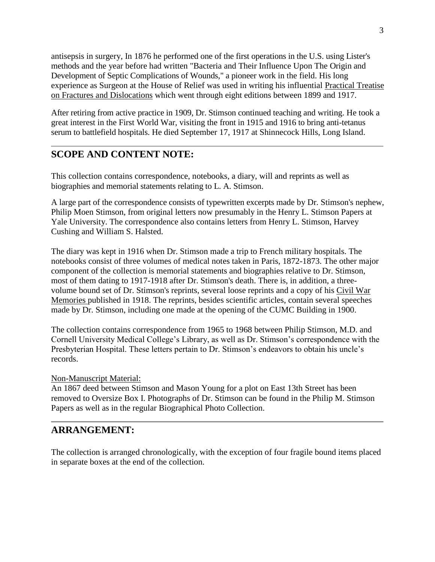antisepsis in surgery, In 1876 he performed one of the first operations in the U.S. using Lister's methods and the year before had written "Bacteria and Their Influence Upon The Origin and Development of Septic Complications of Wounds," a pioneer work in the field. His long experience as Surgeon at the House of Relief was used in writing his influential Practical Treatise on Fractures and Dislocations which went through eight editions between 1899 and 1917.

After retiring from active practice in 1909, Dr. Stimson continued teaching and writing. He took a great interest in the First World War, visiting the front in 1915 and 1916 to bring anti-tetanus serum to battlefield hospitals. He died September 17, 1917 at Shinnecock Hills, Long Island.

### **SCOPE AND CONTENT NOTE:**

This collection contains correspondence, notebooks, a diary, will and reprints as well as biographies and memorial statements relating to L. A. Stimson.

A large part of the correspondence consists of typewritten excerpts made by Dr. Stimson's nephew, Philip Moen Stimson, from original letters now presumably in the Henry L. Stimson Papers at Yale University. The correspondence also contains letters from Henry L. Stimson, Harvey Cushing and William S. Halsted.

The diary was kept in 1916 when Dr. Stimson made a trip to French military hospitals. The notebooks consist of three volumes of medical notes taken in Paris, 1872-1873. The other major component of the collection is memorial statements and biographies relative to Dr. Stimson, most of them dating to 1917-1918 after Dr. Stimson's death. There is, in addition, a threevolume bound set of Dr. Stimson's reprints, several loose reprints and a copy of his Civil War Memories published in 1918. The reprints, besides scientific articles, contain several speeches made by Dr. Stimson, including one made at the opening of the CUMC Building in 1900.

The collection contains correspondence from 1965 to 1968 between Philip Stimson, M.D. and Cornell University Medical College's Library, as well as Dr. Stimson's correspondence with the Presbyterian Hospital. These letters pertain to Dr. Stimson's endeavors to obtain his uncle's records.

#### Non-Manuscript Material:

An 1867 deed between Stimson and Mason Young for a plot on East 13th Street has been removed to Oversize Box I. Photographs of Dr. Stimson can be found in the Philip M. Stimson Papers as well as in the regular Biographical Photo Collection.

### **ARRANGEMENT:**

The collection is arranged chronologically, with the exception of four fragile bound items placed in separate boxes at the end of the collection.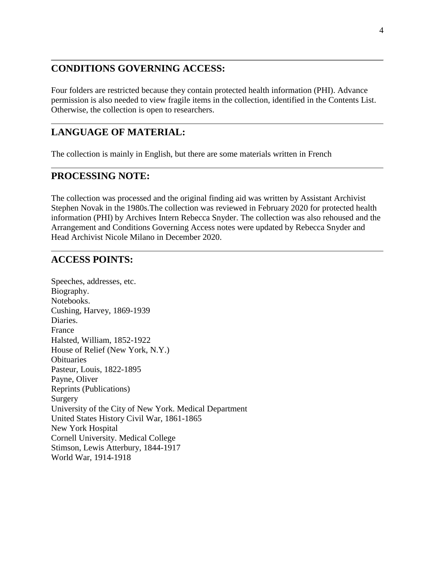### **CONDITIONS GOVERNING ACCESS:**

Four folders are restricted because they contain protected health information (PHI). Advance permission is also needed to view fragile items in the collection, identified in the Contents List. Otherwise, the collection is open to researchers.

### **LANGUAGE OF MATERIAL:**

The collection is mainly in English, but there are some materials written in French

#### **PROCESSING NOTE:**

The collection was processed and the original finding aid was written by Assistant Archivist Stephen Novak in the 1980s.The collection was reviewed in February 2020 for protected health information (PHI) by Archives Intern Rebecca Snyder. The collection was also rehoused and the Arrangement and Conditions Governing Access notes were updated by Rebecca Snyder and Head Archivist Nicole Milano in December 2020.

#### **ACCESS POINTS:**

Speeches, addresses, etc. Biography. Notebooks. Cushing, Harvey, 1869-1939 Diaries. France Halsted, William, 1852-1922 House of Relief (New York, N.Y.) **Obituaries** Pasteur, Louis, 1822-1895 Payne, Oliver Reprints (Publications) Surgery University of the City of New York. Medical Department United States History Civil War, 1861-1865 New York Hospital Cornell University. Medical College Stimson, Lewis Atterbury, 1844-1917 World War, 1914-1918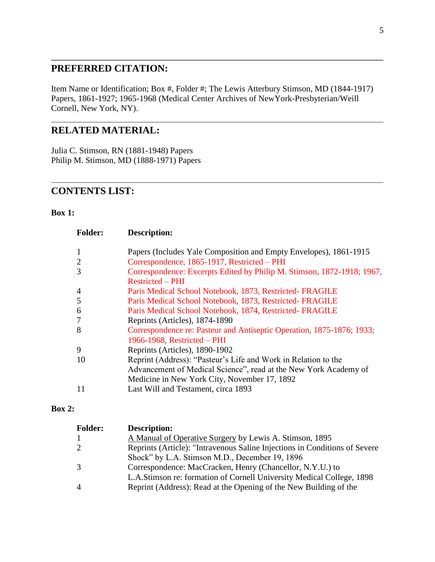## **PREFERRED CITATION:**

Item Name or Identification; Box #, Folder #; The Lewis Atterbury Stimson, MD (1844-1917) Papers, 1861-1927; 1965-1968 (Medical Center Archives of NewYork-Presbyterian/Weill Cornell, New York, NY).

# **RELATED MATERIAL:**

Julia C. Stimson, RN (1881-1948) Papers Philip M. Stimson, MD (1888-1971) Papers

# **CONTENTS LIST:**

#### **Box 1:**

| <b>Folder:</b> | <b>Description:</b>                                                                                    |
|----------------|--------------------------------------------------------------------------------------------------------|
| $\mathbf{1}$   | Papers (Includes Yale Composition and Empty Envelopes), 1861-1915                                      |
| $\overline{2}$ | Correspondence, 1865-1917, Restricted – PHI                                                            |
| 3              | Correspondence: Excerpts Edited by Philip M. Stimson, 1872-1918; 1967,<br><b>Restricted – PHI</b>      |
| $\overline{4}$ | Paris Medical School Notebook, 1873, Restricted-FRAGILE                                                |
| 5              | Paris Medical School Notebook, 1873, Restricted-FRAGILE                                                |
| 6              | Paris Medical School Notebook, 1874, Restricted-FRAGILE                                                |
| $\overline{7}$ | Reprints (Articles), 1874-1890                                                                         |
| 8              | Correspondence re: Pasteur and Antiseptic Operation, 1875-1876; 1933;<br>1966-1968, Restricted $-$ PHI |
| 9              | Reprints (Articles), 1890-1902                                                                         |
| 10             | Reprint (Address): "Pasteur's Life and Work in Relation to the                                         |
|                | Advancement of Medical Science", read at the New York Academy of                                       |
|                | Medicine in New York City, November 17, 1892                                                           |
| 11             | Last Will and Testament, circa 1893                                                                    |

#### **Box 2:**

| <b>Folder:</b> | <b>Description:</b>                                                        |
|----------------|----------------------------------------------------------------------------|
| 1              | A Manual of Operative Surgery by Lewis A. Stimson, 1895                    |
| 2              | Reprints (Article): "Intravenous Saline Injections in Conditions of Severe |
|                | Shock" by L.A. Stimson M.D., December 19, 1896                             |
| 3              | Correspondence: MacCracken, Henry (Chancellor, N.Y.U.) to                  |
|                | L.A.Stimson re: formation of Cornell University Medical College, 1898      |
| $\overline{4}$ | Reprint (Address): Read at the Opening of the New Building of the          |